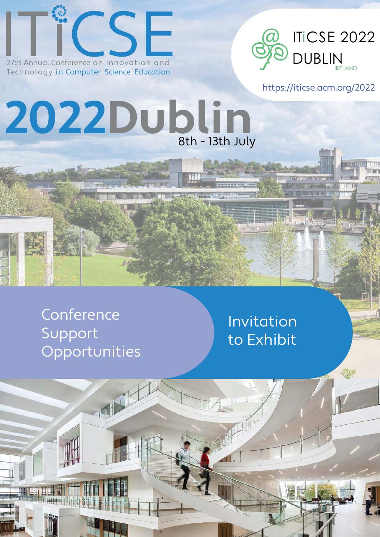

**2022Dublin**



https://iticse.acm.org/2022

# **Conference** Support Opportunities

# Invitation to Exhibit

8th - 13th July

FFT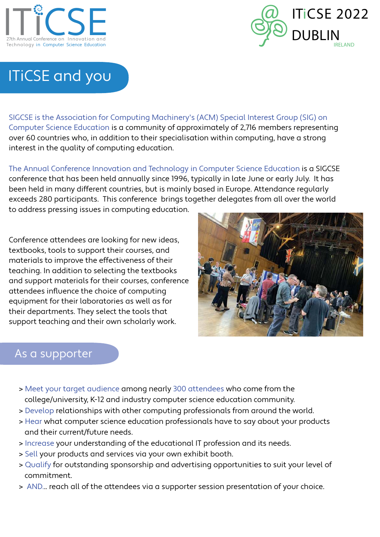



# ITiCSE and you

SIGCSE is the Association for Computing Machinery's (ACM) Special Interest Group (SIG) on Computer Science Education is a community of approximately of 2,716 members representing over 60 countries who, in addition to their specialisation within computing, have a strong interest in the quality of computing education.

The Annual Conference Innovation and Technology in Computer Science Education is a SIGCSE conference that has been held annually since 1996, typically in late June or early July. It has been held in many different countries, but is mainly based in Europe. Attendance regularly exceeds 280 participants. This conference brings together delegates from all over the world to address pressing issues in computing education.

Conference attendees are looking for new ideas, textbooks, tools to support their courses, and materials to improve the effectiveness of their teaching. In addition to selecting the textbooks and support materials for their courses, conference attendees influence the choice of computing equipment for their laboratories as well as for their departments. They select the tools that support teaching and their own scholarly work.



### As a supporter

- > Meet your target audience among nearly 300 attendees who come from the college/university, K-12 and industry computer science education community.
- > Develop relationships with other computing professionals from around the world.
- > Hear what computer science education professionals have to say about your products and their current/future needs.
- > Increase your understanding of the educational IT profession and its needs.
- > Sell your products and services via your own exhibit booth.
- > Qualify for outstanding sponsorship and advertising opportunities to suit your level of commitment.
- > AND... reach all of the attendees via a supporter session presentation of your choice.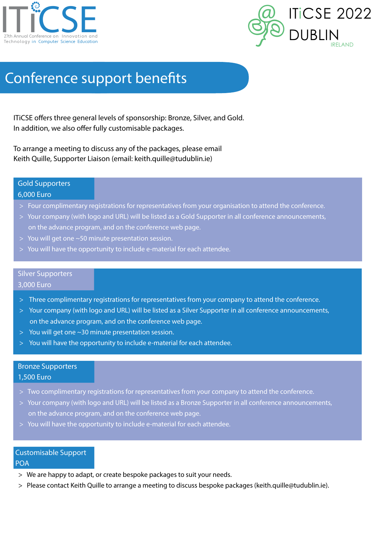



# Conference support benefits

ITiCSE offers three general levels of sponsorship: Bronze, Silver, and Gold. In addition, we also offer fully customisable packages.

To arrange a meeting to discuss any of the packages, please email Keith Quille, Supporter Liaison (email: keith.quille@tudublin.ie)

#### Gold Supporters

#### 6,000 Euro

- > Four complimentary registrations for representatives from your organisation to attend the conference.
- > Your company (with logo and URL) will be listed as a Gold Supporter in all conference announcements, on the advance program, and on the conference web page.
- > You will get one ~50 minute presentation session.
- > You will have the opportunity to include e-material for each attendee.

#### Silver Supporters

#### 3,000 Euro

- > Three complimentary registrations for representatives from your company to attend the conference.
- > Your company (with logo and URL) will be listed as a Silver Supporter in all conference announcements, on the advance program, and on the conference web page.
- > You will get one ~30 minute presentation session.
- > You will have the opportunity to include e-material for each attendee.

#### Bronze Supporters

#### 1,500 Euro

- > Two complimentary registrations for representatives from your company to attend the conference.
- > Your company (with logo and URL) will be listed as a Bronze Supporter in all conference announcements, on the advance program, and on the conference web page.
- > You will have the opportunity to include e-material for each attendee.

### Customisable Support

#### POA

- > We are happy to adapt, or create bespoke packages to suit your needs.
- > Please contact Keith Quille to arrange a meeting to discuss bespoke packages (keith.quille@tudublin.ie).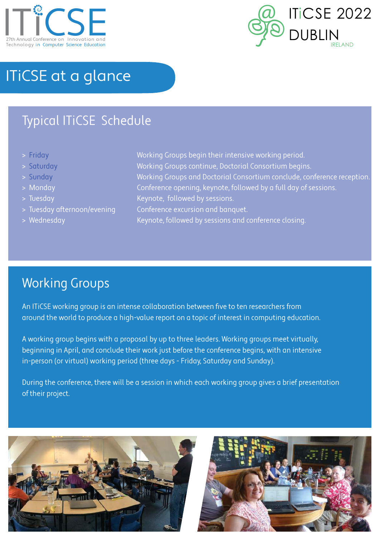



# ITiCSE at a glance

## Typical ITiCSE Schedule

- 
- 
- 
- 
- 
- 
- 

> Friday Working Groups begin their intensive working period. > Saturday Working Groups continue, Doctorial Consortium begins. > Sunday Working Groups and Doctorial Consortium conclude, conference reception. > Monday Conference opening, keynote, followed by a full day of sessions. > Tuesday Neynote, followed by sessions.

- > Tuesday afternoon/evening Conference excursion and banquet.
- > Wednesday Manuscript Controllery Keynote, followed by sessions and conference closing.

## Working Groups

An ITiCSE working group is an intense collaboration between five to ten researchers from around the world to produce a high-value report on a topic of interest in computing education.

A working group begins with a proposal by up to three leaders. Working groups meet virtually, beginning in April, and conclude their work just before the conference begins, with an intensive in-person (or virtual) working period (three days - Friday, Saturday and Sunday).

During the conference, there will be a session in which each working group gives a brief presentation of their project.



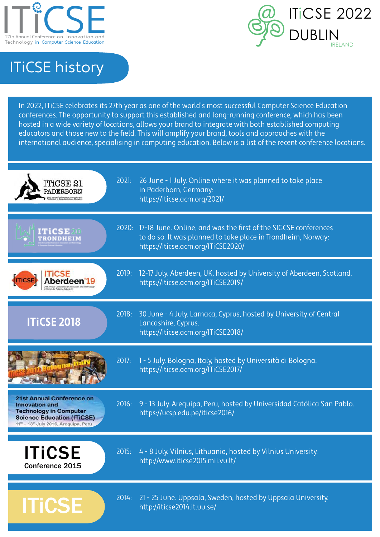



# ITiCSE history

In 2022, ITiCSE celebrates its 27th year as one of the world's most successful Computer Science Education conferences. The opportunity to support this established and long-running conference, which has been hosted in a wide variety of locations, allows your brand to integrate with both established computing educators and those new to the field. This will amplify your brand, tools and approaches with the international audience, specialising in computing education. Below is a list of the recent conference locations.

| ITiCSE 21<br>PADERBORN                                                                                                                                                                           | 2021: | 26 June - 1 July. Online where it was planned to take place<br>in Paderborn, Germany:<br>https://iticse.acm.org/2021/                                                       |
|--------------------------------------------------------------------------------------------------------------------------------------------------------------------------------------------------|-------|-----------------------------------------------------------------------------------------------------------------------------------------------------------------------------|
| ITiCSE<br>TRONDHEIM                                                                                                                                                                              |       | 2020: 17-18 June. Online, and was the first of the SIGCSE conferences<br>to do so. It was planned to take place in Trondheim, Norway:<br>https://iticse.acm.org/ITiCSE2020/ |
|                                                                                                                                                                                                  | 2019: | 12-17 July. Aberdeen, UK, hosted by University of Aberdeen, Scotland.<br>https://iticse.acm.org/ITiCSE2019/                                                                 |
| <b>ITICSE 2018</b>                                                                                                                                                                               | 2018: | 30 June - 4 July. Larnaca, Cyprus, hosted by University of Central<br>Lancashire, Cyprus.<br>https://iticse.acm.org/ITiCSE2018/                                             |
|                                                                                                                                                                                                  | 2017: | 1 - 5 July. Bologna, Italy, hosted by Università di Bologna.<br>https://iticse.acm.org/ITiCSE2017/                                                                          |
| <b>21st Annual Conference on</b><br><b>Innovation and</b><br><b>Technology in Computer</b><br><b>Science Education (ITiCSE)</b><br>11 <sup>th</sup> - 13 <sup>th</sup> July 2016, Arequipa, Peru | 2016: | 9 - 13 July. Arequipa, Peru, hosted by Universidad Católica San Pablo.<br>https://ucsp.edu.pe/iticse2016/                                                                   |
| <b>ITICSE</b><br>Conference 2015                                                                                                                                                                 | 2015: | 4 - 8 July. Vilnius, Lithuania, hosted by Vilnius University.<br>http://www.iticse2015.mii.vu.lt/                                                                           |
| <b>ITICSE</b>                                                                                                                                                                                    | 2014: | 21 - 25 June. Uppsala, Sweden, hosted by Uppsala University.<br>http://iticse2014.it.uu.se/                                                                                 |